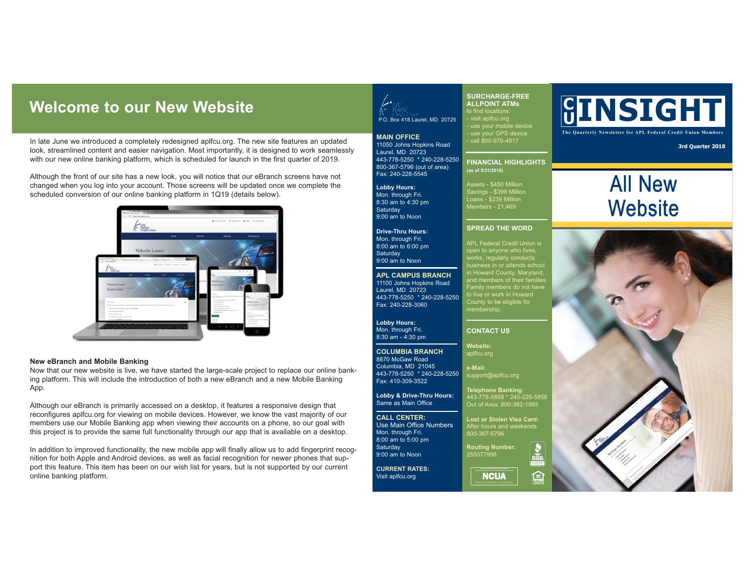## **Welcome to our New Website**

In late June we introduced a completely redesigned aplfcu.org. The new site features an updated look, streamlined content and easier navigation. Most importantly, it is designed to work seamlessly with our new online banking platform, which is scheduled for launch in the first quarter of 2019.

Although the front of our site has a new look, you will notice that our eBranch screens have not changed when you log into your account. Those screens will be updated once we complete the scheduled conversion of our online banking platform in 1Q19 (details below).



#### **New eBranch and Mobile Banking**

Now that our new website is live, we have started the large-scale project to replace our online banking platform. This will include the introduction of both a new eBranch and a new Mobile Banking App.

Although our eBranch is primarily accessed on a desktop, it features a responsive design that reconfigures aplfcu.org for viewing on mobile devices. However, we know the vast majority of our members use our Mobile Banking app when viewing their accounts on a phone, so our goal with this project is to provide the same full functionality through our app that is available on a desktop.

In addition to improved functionality, the new mobile app will finally allow us to add fingerprint recognition for both Apple and Android devices, as well as facial recognition for newer phones that support this feature. This item has been on our wish list for years, but is not supported by our current online banking platform.



**SURCHARGE-FREE ALLPOINT ATMs**

to find locations: - visit aplfcu.org - use your mobile device - use your GPS device - call 800-976-4917

**FINANCIAL HIGHLIGHTS** 

Savings - \$399 Million Loans - \$239 Million Members - 21,469

**SPREAD THE WORD** APL Federal Credit Union is works, regularly conducts

in Howard County, Maryland, and members of their families. Family members do not have to live or work in Howard County to be eligible for membership.

Out of Area: 800-382-1993 **Lost or Stolen Visa Card:** After hours and weekends 800-367-5796 **Routing Number:** 255077998

的

**CONTACT US Website:** aplfcu.org **e-Mail:** support@aplfcu.org

**(as of 5/31/2018)**

**MAIN OFFICE** 11050 Johns Hopkins Road Laurel, MD 20723 443-778-5250 \* 240-228-5250 800-367-5796 (out of area) Fax: 240-228-5545

**Lobby Hours:**  Mon. through Fri. 8:30 am to 4:30 pm **Saturday** 9:00 am to Noon

**Drive-Thru Hours:** Mon. through Fri. 8:00 am to 6:00 pm **Saturday** 9:00 am to Noon

**APL CAMPUS BRANCH** 11100 Johns Hopkins Road Laurel, MD 20723 443-778-5250 \* 240-228-5250 Fax: 240-228-3060

**Lobby Hours:** Mon. through Fri. 8:30 am - 4:30 pm

#### **COLUMBIA BRANCH** 8870 McGaw Road Columbia, MD 21045 443-778-5250 \* 240-228-5250

Fax: 410-309-3522 **Lobby & Drive-Thru Hours:**

Same as Main Office

**CALL CENTER:** Use Main Office Numbers Mon. through Fri. 8:00 am to 5:00 pm **Saturday** 

Visit aplfcu.org

9:00 am to Noon **CURRENT RATES:**

**a**<br>NCUA

# **<sup>U</sup> INSIGHT**

**The Quarterly Newsletter for APL Federal Credit Union Members**

**3rd Quarter 2018**

# **All New Website**